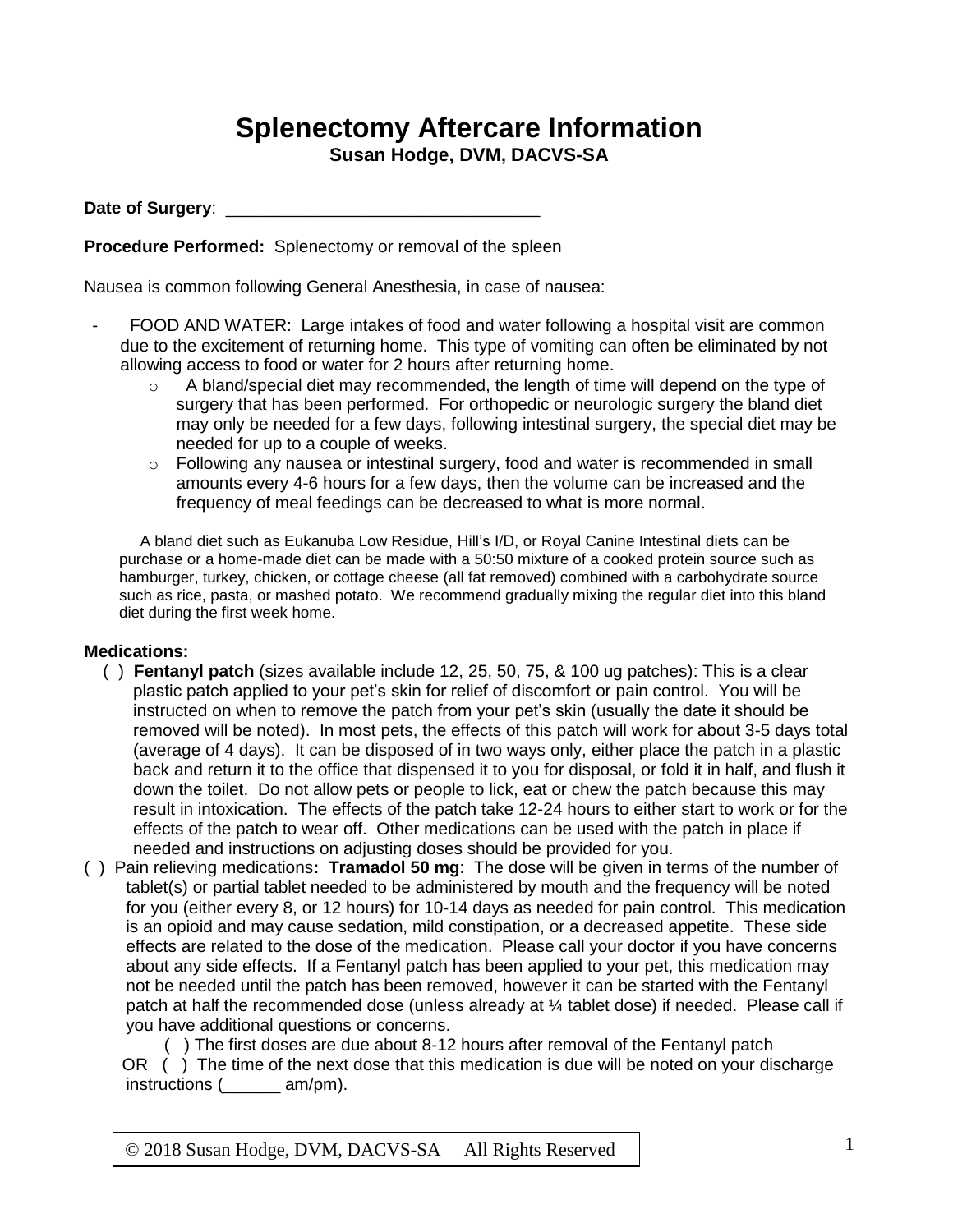## **Splenectomy Aftercare Information**

**Susan Hodge, DVM, DACVS-SA**

Date of Surgery:

**Procedure Performed:** Splenectomy or removal of the spleen

Nausea is common following General Anesthesia, in case of nausea:

- FOOD AND WATER: Large intakes of food and water following a hospital visit are common due to the excitement of returning home. This type of vomiting can often be eliminated by not allowing access to food or water for 2 hours after returning home.
	- o A bland/special diet may recommended, the length of time will depend on the type of surgery that has been performed. For orthopedic or neurologic surgery the bland diet may only be needed for a few days, following intestinal surgery, the special diet may be needed for up to a couple of weeks.
	- $\circ$  Following any nausea or intestinal surgery, food and water is recommended in small amounts every 4-6 hours for a few days, then the volume can be increased and the frequency of meal feedings can be decreased to what is more normal.

A bland diet such as Eukanuba Low Residue, Hill's I/D, or Royal Canine Intestinal diets can be purchase or a home-made diet can be made with a 50:50 mixture of a cooked protein source such as hamburger, turkey, chicken, or cottage cheese (all fat removed) combined with a carbohydrate source such as rice, pasta, or mashed potato. We recommend gradually mixing the regular diet into this bland diet during the first week home.

## **Medications:**

- ( ) **Fentanyl patch** (sizes available include 12, 25, 50, 75, & 100 ug patches): This is a clear plastic patch applied to your pet's skin for relief of discomfort or pain control. You will be instructed on when to remove the patch from your pet's skin (usually the date it should be removed will be noted). In most pets, the effects of this patch will work for about 3-5 days total (average of 4 days). It can be disposed of in two ways only, either place the patch in a plastic back and return it to the office that dispensed it to you for disposal, or fold it in half, and flush it down the toilet. Do not allow pets or people to lick, eat or chew the patch because this may result in intoxication. The effects of the patch take 12-24 hours to either start to work or for the effects of the patch to wear off. Other medications can be used with the patch in place if needed and instructions on adjusting doses should be provided for you.
- ( ) Pain relieving medications**: Tramadol 50 mg**: The dose will be given in terms of the number of tablet(s) or partial tablet needed to be administered by mouth and the frequency will be noted for you (either every 8, or 12 hours) for 10-14 days as needed for pain control. This medication is an opioid and may cause sedation, mild constipation, or a decreased appetite. These side effects are related to the dose of the medication. Please call your doctor if you have concerns about any side effects. If a Fentanyl patch has been applied to your pet, this medication may not be needed until the patch has been removed, however it can be started with the Fentanyl patch at half the recommended dose (unless already at  $\frac{1}{4}$  tablet dose) if needed. Please call if you have additional questions or concerns.

 ( ) The first doses are due about 8-12 hours after removal of the Fentanyl patch OR () The time of the next dose that this medication is due will be noted on your discharge instructions (\_\_\_\_\_\_ am/pm).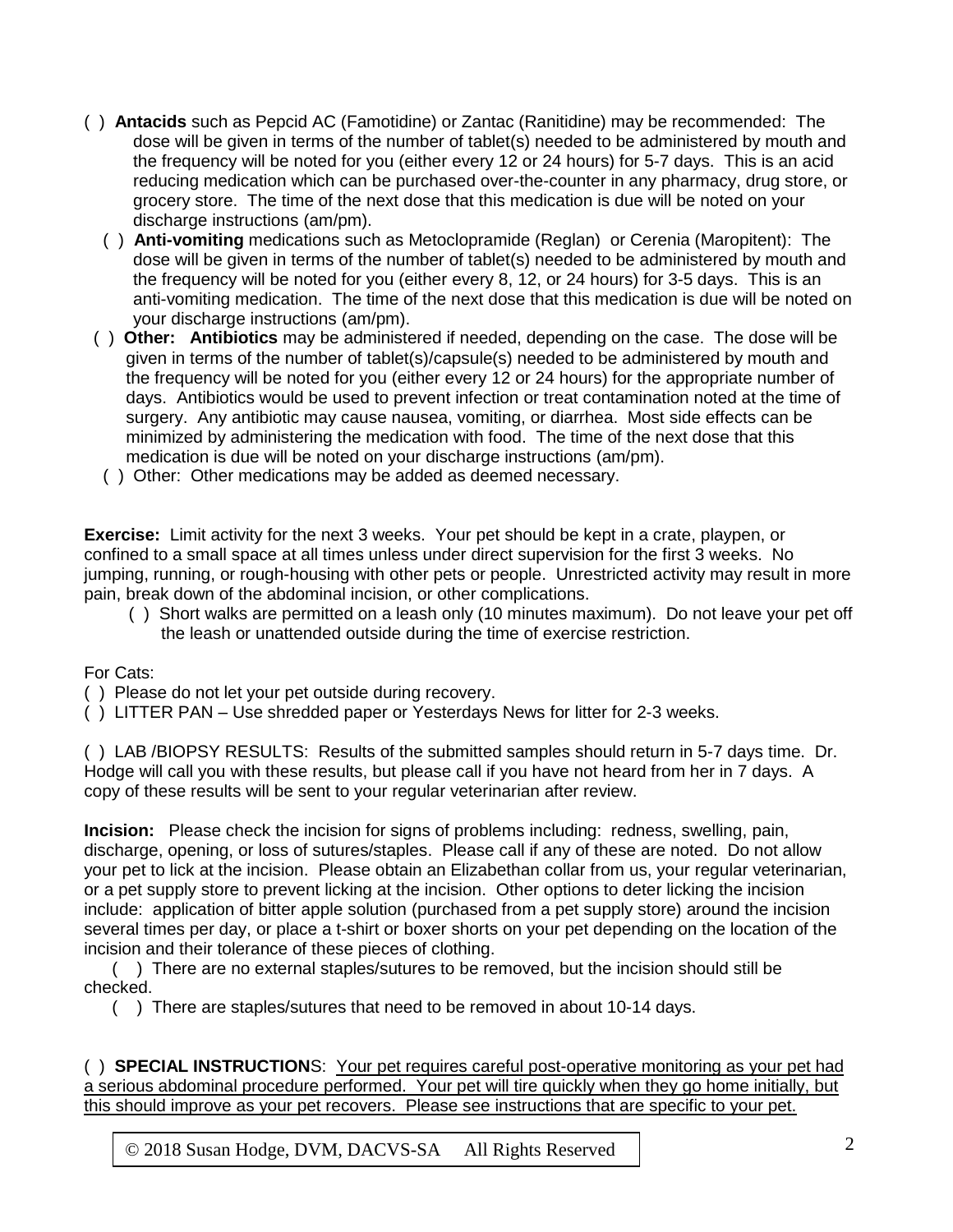- ( ) **Antacids** such as Pepcid AC (Famotidine) or Zantac (Ranitidine) may be recommended:The dose will be given in terms of the number of tablet(s) needed to be administered by mouth and the frequency will be noted for you (either every 12 or 24 hours) for 5-7 days. This is an acid reducing medication which can be purchased over-the-counter in any pharmacy, drug store, or grocery store. The time of the next dose that this medication is due will be noted on your discharge instructions (am/pm).
	- ( ) **Anti-vomiting** medications such as Metoclopramide (Reglan) or Cerenia (Maropitent): The dose will be given in terms of the number of tablet(s) needed to be administered by mouth and the frequency will be noted for you (either every 8, 12, or 24 hours) for 3-5 days. This is an anti-vomiting medication. The time of the next dose that this medication is due will be noted on your discharge instructions (am/pm).
- ( ) **Other: Antibiotics** may be administered if needed, depending on the case. The dose will be given in terms of the number of tablet(s)/capsule(s) needed to be administered by mouth and the frequency will be noted for you (either every 12 or 24 hours) for the appropriate number of days. Antibiotics would be used to prevent infection or treat contamination noted at the time of surgery. Any antibiotic may cause nausea, vomiting, or diarrhea. Most side effects can be minimized by administering the medication with food. The time of the next dose that this medication is due will be noted on your discharge instructions (am/pm).
- ( ) Other: Other medications may be added as deemed necessary.

**Exercise:** Limit activity for the next 3 weeks. Your pet should be kept in a crate, playpen, or confined to a small space at all times unless under direct supervision for the first 3 weeks. No jumping, running, or rough-housing with other pets or people. Unrestricted activity may result in more pain, break down of the abdominal incision, or other complications.

 ( ) Short walks are permitted on a leash only (10 minutes maximum). Do not leave your pet off the leash or unattended outside during the time of exercise restriction.

For Cats:

- ( ) Please do not let your pet outside during recovery.
- ( ) LITTER PAN Use shredded paper or Yesterdays News for litter for 2-3 weeks.

( ) LAB /BIOPSY RESULTS: Results of the submitted samples should return in 5-7 days time. Dr. Hodge will call you with these results, but please call if you have not heard from her in 7 days. A copy of these results will be sent to your regular veterinarian after review.

**Incision:** Please check the incision for signs of problems including: redness, swelling, pain, discharge, opening, or loss of sutures/staples. Please call if any of these are noted. Do not allow your pet to lick at the incision. Please obtain an Elizabethan collar from us, your regular veterinarian, or a pet supply store to prevent licking at the incision. Other options to deter licking the incision include: application of bitter apple solution (purchased from a pet supply store) around the incision several times per day, or place a t-shirt or boxer shorts on your pet depending on the location of the incision and their tolerance of these pieces of clothing.

( ) There are no external staples/sutures to be removed, but the incision should still be checked.

( ) There are staples/sutures that need to be removed in about 10-14 days.

( ) **SPECIAL INSTRUCTION**S: Your pet requires careful post-operative monitoring as your pet had a serious abdominal procedure performed. Your pet will tire quickly when they go home initially, but this should improve as your pet recovers. Please see instructions that are specific to your pet.

© 2 2018 Susan Hodge, DVM, DACVS-SA All Rights Reserved